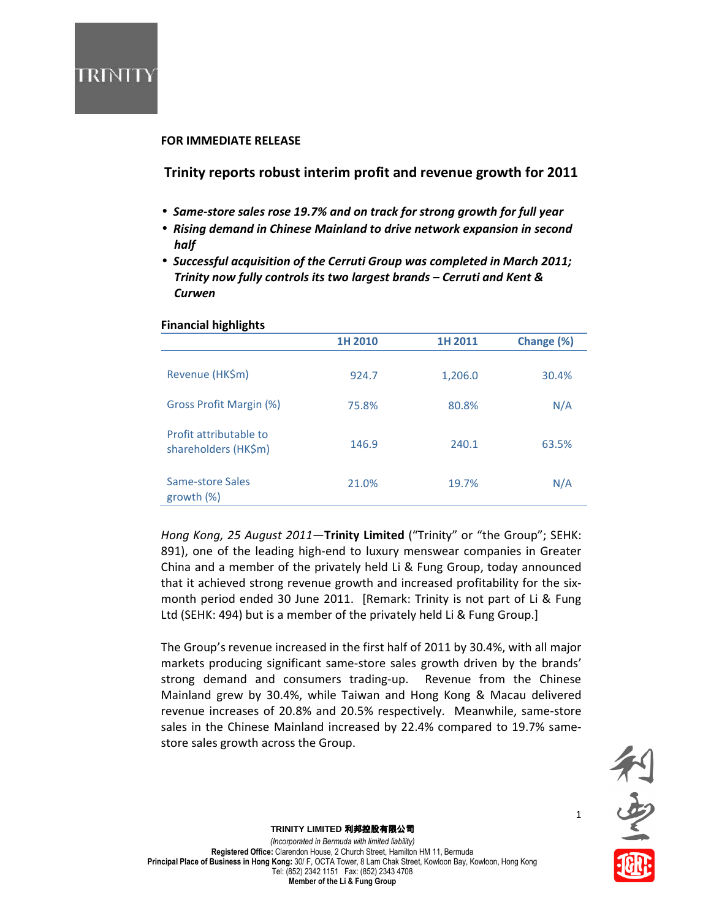

### FOR IMMEDIATE RELEASE

Trinity reports robust interim profit and revenue growth for 2011

- Same-store sales rose 19.7% and on track for strong growth for full year
- Rising demand in Chinese Mainland to drive network expansion in second half
- Successful acquisition of the Cerruti Group was completed in March 2011; Trinity now fully controls its two largest brands – Cerruti and Kent & **Curwen**

| ັ                                              | 1H 2010 | 1H 2011 | Change (%) |
|------------------------------------------------|---------|---------|------------|
| Revenue (HK\$m)                                | 924.7   | 1,206.0 | 30.4%      |
| Gross Profit Margin (%)                        | 75.8%   | 80.8%   | N/A        |
| Profit attributable to<br>shareholders (HK\$m) | 146.9   | 240.1   | 63.5%      |
| Same-store Sales<br>growth (%)                 | 21.0%   | 19.7%   | N/A        |

## Financial highlights

Hong Kong, 25 August 2011-Trinity Limited ("Trinity" or "the Group"; SEHK: 891), one of the leading high-end to luxury menswear companies in Greater China and a member of the privately held Li & Fung Group, today announced that it achieved strong revenue growth and increased profitability for the sixmonth period ended 30 June 2011. [Remark: Trinity is not part of Li & Fung Ltd (SEHK: 494) but is a member of the privately held Li & Fung Group.]

The Group's revenue increased in the first half of 2011 by 30.4%, with all major markets producing significant same-store sales growth driven by the brands' strong demand and consumers trading-up. Revenue from the Chinese Mainland grew by 30.4%, while Taiwan and Hong Kong & Macau delivered revenue increases of 20.8% and 20.5% respectively. Meanwhile, same-store sales in the Chinese Mainland increased by 22.4% compared to 19.7% samestore sales growth across the Group.



1

### **TRINITY LIMITED** 利邦控股有限公司

(Incorporated in Bermuda with limited liability) Registered Office: Clarendon House, 2 Church Street, Hamilton HM 11, Bermuda Principal Place of Business in Hong Kong: 30/ F, OCTA Tower, 8 Lam Chak Street, Kowloon Bay, Kowloon, Hong Kong Tel: (852) 2342 1151 Fax: (852) 2343 4708 Member of the Li & Fung Group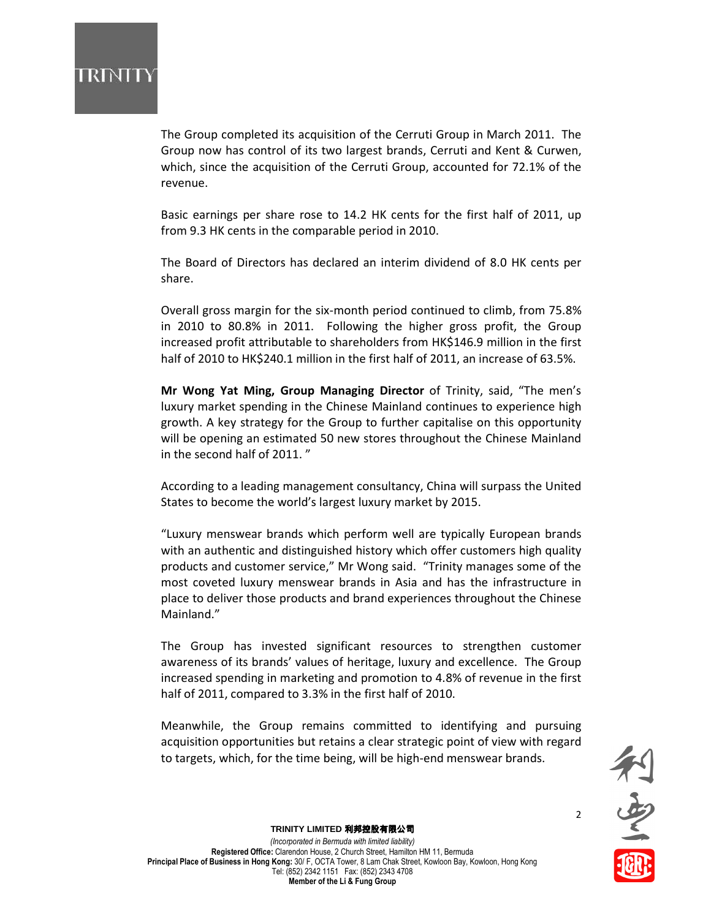# IRINH

The Group completed its acquisition of the Cerruti Group in March 2011. The Group now has control of its two largest brands, Cerruti and Kent & Curwen, which, since the acquisition of the Cerruti Group, accounted for 72.1% of the revenue.

Basic earnings per share rose to 14.2 HK cents for the first half of 2011, up from 9.3 HK cents in the comparable period in 2010.

The Board of Directors has declared an interim dividend of 8.0 HK cents per share.

Overall gross margin for the six-month period continued to climb, from 75.8% in 2010 to 80.8% in 2011. Following the higher gross profit, the Group increased profit attributable to shareholders from HK\$146.9 million in the first half of 2010 to HK\$240.1 million in the first half of 2011, an increase of 63.5%.

Mr Wong Yat Ming, Group Managing Director of Trinity, said, "The men's luxury market spending in the Chinese Mainland continues to experience high growth. A key strategy for the Group to further capitalise on this opportunity will be opening an estimated 50 new stores throughout the Chinese Mainland in the second half of 2011. "

According to a leading management consultancy, China will surpass the United States to become the world's largest luxury market by 2015.

"Luxury menswear brands which perform well are typically European brands with an authentic and distinguished history which offer customers high quality products and customer service," Mr Wong said. "Trinity manages some of the most coveted luxury menswear brands in Asia and has the infrastructure in place to deliver those products and brand experiences throughout the Chinese Mainland."

The Group has invested significant resources to strengthen customer awareness of its brands' values of heritage, luxury and excellence. The Group increased spending in marketing and promotion to 4.8% of revenue in the first half of 2011, compared to 3.3% in the first half of 2010.

Meanwhile, the Group remains committed to identifying and pursuing acquisition opportunities but retains a clear strategic point of view with regard to targets, which, for the time being, will be high-end menswear brands.



2

### **TRINITY LIMITED** 利邦控股有限公司

(Incorporated in Bermuda with limited liability) Registered Office: Clarendon House, 2 Church Street, Hamilton HM 11, Bermuda Principal Place of Business in Hong Kong: 30/ F, OCTA Tower, 8 Lam Chak Street, Kowloon Bay, Kowloon, Hong Kong Tel: (852) 2342 1151 Fax: (852) 2343 4708 Member of the Li & Fung Group